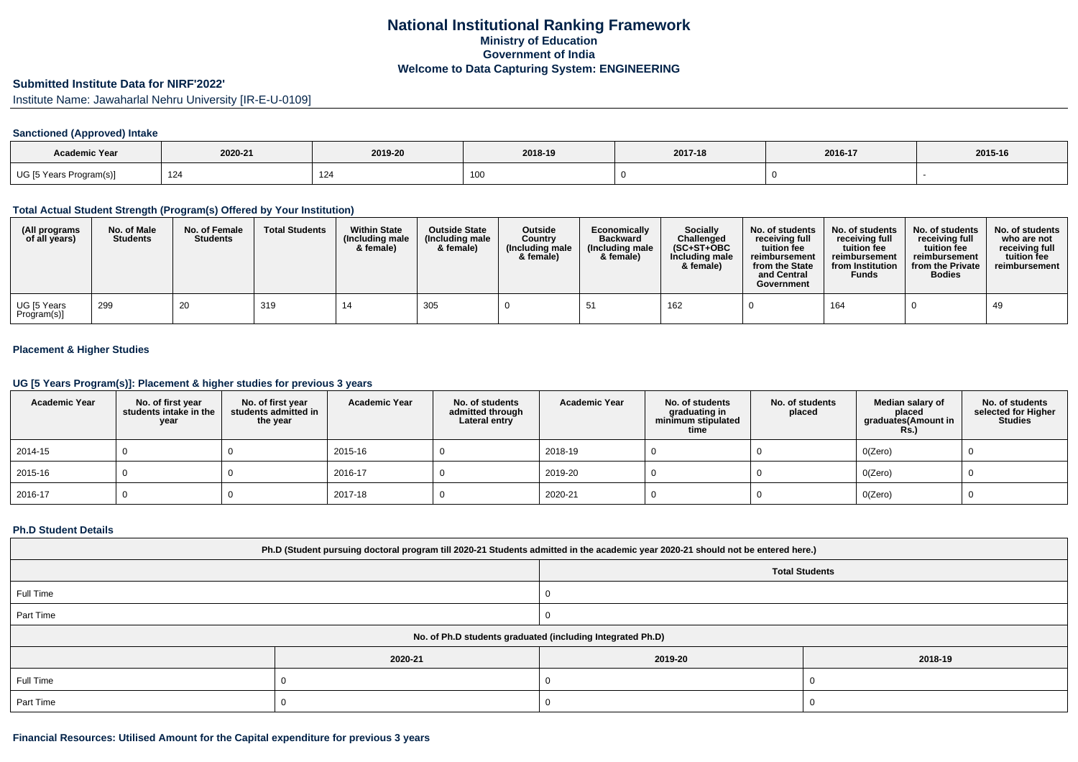## **Submitted Institute Data for NIRF'2022'**

Institute Name: Jawaharlal Nehru University [IR-E-U-0109]

# **Sanctioned (Approved) Intake**

| <b>Academic Year</b>    | 2020-21 | 2019-20 | 2018-19 | 2017-18 | 2016-17 | 2015-16 |
|-------------------------|---------|---------|---------|---------|---------|---------|
| UG [5 Years Program(s)] | 124     | 124     |         |         |         |         |

## **Total Actual Student Strength (Program(s) Offered by Your Institution)**

| (All programs<br>of all years) | No. of Male<br><b>Students</b> | No. of Female<br><b>Students</b> | <b>Total Students</b> | <b>Within State</b><br>(Including male<br>& female) | <b>Outside State</b><br>(Including male<br>& female) | <b>Outside</b><br>Country<br>(Including male<br>& female) | Economically<br><b>Backward</b><br>(Including male)<br>& female) | <b>Socially</b><br>Challenged<br>$(SC+ST+OBC)$<br>Including male<br>& female) | No. of students<br>receivina full<br>tuition fee<br>reimbursement<br>from the State<br>and Central<br>Government | No. of students<br>receiving full<br>tuition fee<br>reimbursement<br>from Institution<br><b>Funds</b> | No. of students<br>receiving full<br>tuition fee<br>reimbursement<br>from the Private<br><b>Bodies</b> | No. of students<br>who are not<br>receiving full<br>tuition fee<br>reimbursement |
|--------------------------------|--------------------------------|----------------------------------|-----------------------|-----------------------------------------------------|------------------------------------------------------|-----------------------------------------------------------|------------------------------------------------------------------|-------------------------------------------------------------------------------|------------------------------------------------------------------------------------------------------------------|-------------------------------------------------------------------------------------------------------|--------------------------------------------------------------------------------------------------------|----------------------------------------------------------------------------------|
| UG [5 Years<br>Program(s)]     | 299                            | 20                               | 319                   |                                                     | 305                                                  |                                                           |                                                                  | 162                                                                           |                                                                                                                  | 164                                                                                                   |                                                                                                        | 49                                                                               |

# **Placement & Higher Studies**

## **UG [5 Years Program(s)]: Placement & higher studies for previous 3 years**

| <b>Academic Year</b> | No. of first year<br>students intake in the<br>year | No. of first vear<br>students admitted in<br>the year | <b>Academic Year</b> | No. of students<br>admitted through<br>Lateral entry | <b>Academic Year</b> | No. of students<br>graduating in<br>minimum stipulated<br>time | No. of students<br>placed | Median salary of<br>placed<br>graduates(Amount in<br><b>Rs.)</b> | No. of students<br>selected for Higher<br><b>Studies</b> |
|----------------------|-----------------------------------------------------|-------------------------------------------------------|----------------------|------------------------------------------------------|----------------------|----------------------------------------------------------------|---------------------------|------------------------------------------------------------------|----------------------------------------------------------|
| 2014-15              |                                                     |                                                       | 2015-16              |                                                      | 2018-19              |                                                                |                           | O(Zero)                                                          |                                                          |
| 2015-16              |                                                     |                                                       | 2016-17              |                                                      | 2019-20              |                                                                |                           | O(Zero)                                                          |                                                          |
| $12016 - 17$         |                                                     |                                                       | 2017-18              |                                                      | 2020-21              |                                                                |                           | O(Zero)                                                          |                                                          |

#### **Ph.D Student Details**

| Ph.D (Student pursuing doctoral program till 2020-21 Students admitted in the academic year 2020-21 should not be entered here.) |         |                       |         |  |  |  |
|----------------------------------------------------------------------------------------------------------------------------------|---------|-----------------------|---------|--|--|--|
|                                                                                                                                  |         | <b>Total Students</b> |         |  |  |  |
| Full Time                                                                                                                        |         |                       |         |  |  |  |
| Part Time                                                                                                                        |         |                       |         |  |  |  |
| No. of Ph.D students graduated (including Integrated Ph.D)                                                                       |         |                       |         |  |  |  |
|                                                                                                                                  | 2020-21 | 2019-20               | 2018-19 |  |  |  |
| Full Time                                                                                                                        |         |                       |         |  |  |  |
| Part Time                                                                                                                        |         |                       |         |  |  |  |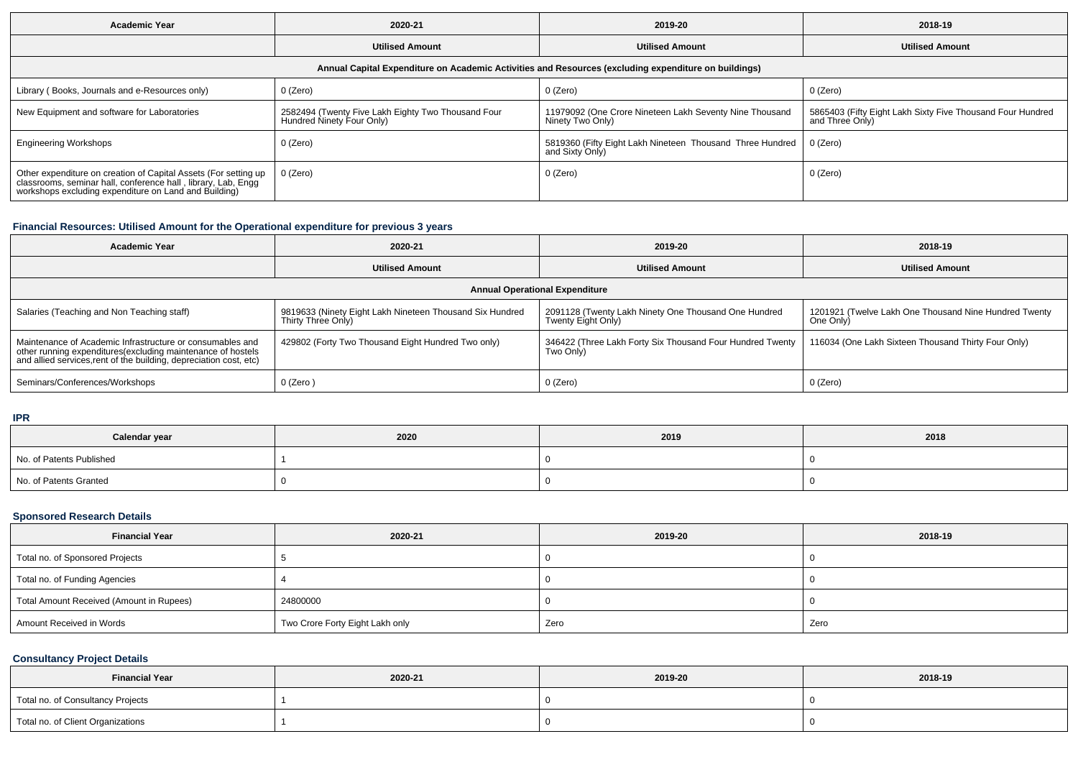| <b>Academic Year</b>                                                                                                                                                                      | 2020-21                                                                         | 2019-20                                                                      | 2018-19                                                                       |  |  |  |  |  |
|-------------------------------------------------------------------------------------------------------------------------------------------------------------------------------------------|---------------------------------------------------------------------------------|------------------------------------------------------------------------------|-------------------------------------------------------------------------------|--|--|--|--|--|
|                                                                                                                                                                                           | <b>Utilised Amount</b>                                                          | <b>Utilised Amount</b>                                                       | <b>Utilised Amount</b>                                                        |  |  |  |  |  |
| Annual Capital Expenditure on Academic Activities and Resources (excluding expenditure on buildings)                                                                                      |                                                                                 |                                                                              |                                                                               |  |  |  |  |  |
| Library (Books, Journals and e-Resources only)                                                                                                                                            | 0 (Zero)                                                                        | $0$ (Zero)                                                                   | $0$ (Zero)                                                                    |  |  |  |  |  |
| New Equipment and software for Laboratories                                                                                                                                               | 2582494 (Twenty Five Lakh Eighty Two Thousand Four<br>Hundred Ninety Four Only) | 11979092 (One Crore Nineteen Lakh Seventy Nine Thousand<br>Ninety Two Only)  | 5865403 (Fifty Eight Lakh Sixty Five Thousand Four Hundred<br>and Three Only) |  |  |  |  |  |
| <b>Engineering Workshops</b>                                                                                                                                                              | 0 (Zero)                                                                        | 5819360 (Fifty Eight Lakh Nineteen Thousand Three Hundred<br>and Sixty Only) | 0 (Zero)                                                                      |  |  |  |  |  |
| Other expenditure on creation of Capital Assets (For setting up<br>classrooms, seminar hall, conference hall, library, Lab, Engg<br>workshops excluding expenditure on Land and Building) | $0$ (Zero)                                                                      | $0$ (Zero)                                                                   | $0$ (Zero)                                                                    |  |  |  |  |  |

# **Financial Resources: Utilised Amount for the Operational expenditure for previous 3 years**

| <b>Academic Year</b>                                                                                                                                                                            | 2020-21                                                                        | 2019-20                                                                    | 2018-19                                                            |  |  |  |  |  |
|-------------------------------------------------------------------------------------------------------------------------------------------------------------------------------------------------|--------------------------------------------------------------------------------|----------------------------------------------------------------------------|--------------------------------------------------------------------|--|--|--|--|--|
|                                                                                                                                                                                                 | <b>Utilised Amount</b>                                                         | <b>Utilised Amount</b>                                                     | <b>Utilised Amount</b>                                             |  |  |  |  |  |
| <b>Annual Operational Expenditure</b>                                                                                                                                                           |                                                                                |                                                                            |                                                                    |  |  |  |  |  |
| Salaries (Teaching and Non Teaching staff)                                                                                                                                                      | 9819633 (Ninety Eight Lakh Nineteen Thousand Six Hundred<br>Thirty Three Only) | 2091128 (Twenty Lakh Ninety One Thousand One Hundred<br>Twenty Eight Only) | 1201921 (Twelve Lakh One Thousand Nine Hundred Twenty<br>One Only) |  |  |  |  |  |
| Maintenance of Academic Infrastructure or consumables and<br>other running expenditures (excluding maintenance of hostels<br>and allied services, rent of the building, depreciation cost, etc) | 429802 (Forty Two Thousand Eight Hundred Two only)                             | 346422 (Three Lakh Forty Six Thousand Four Hundred Twenty<br>Two Only)     | 116034 (One Lakh Sixteen Thousand Thirty Four Only)                |  |  |  |  |  |
| Seminars/Conferences/Workshops                                                                                                                                                                  | 0 (Zero)                                                                       | 0 (Zero)                                                                   | 0 (Zero)                                                           |  |  |  |  |  |

**IPR**

| Calendar year            | 2020 | 2019 | 2018 |
|--------------------------|------|------|------|
| No. of Patents Published |      |      |      |
| No. of Patents Granted   |      |      |      |

## **Sponsored Research Details**

| <b>Financial Year</b>                    | 2020-21                         | 2019-20 | 2018-19 |
|------------------------------------------|---------------------------------|---------|---------|
| Total no. of Sponsored Projects          |                                 |         |         |
| Total no. of Funding Agencies            |                                 |         |         |
| Total Amount Received (Amount in Rupees) | 24800000                        |         |         |
| Amount Received in Words                 | Two Crore Forty Eight Lakh only | Zero    | Zero    |

# **Consultancy Project Details**

| <b>Financial Year</b>             | 2020-21 | 2019-20 | 2018-19 |
|-----------------------------------|---------|---------|---------|
| Total no. of Consultancy Projects |         |         |         |
| Total no. of Client Organizations |         |         |         |